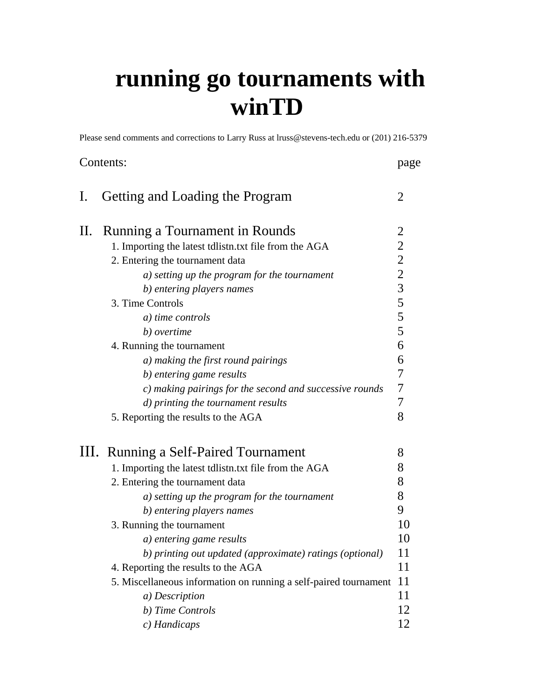# **running go tournaments with winTD**

Please send comments and corrections to Larry Russ at lruss@stevens-tech.edu or (201) 216-5379

|                | Contents:                                                        |                  |
|----------------|------------------------------------------------------------------|------------------|
| $\mathbf{I}$ . | Getting and Loading the Program                                  | $\overline{2}$   |
| П.             | Running a Tournament in Rounds                                   | $\overline{c}$   |
|                | 1. Importing the latest tdlistn.txt file from the AGA            |                  |
|                | 2. Entering the tournament data                                  |                  |
|                | a) setting up the program for the tournament                     | 222355           |
|                | b) entering players names                                        |                  |
|                | 3. Time Controls                                                 |                  |
|                | a) time controls                                                 |                  |
|                | b) overtime                                                      | $\overline{5}$   |
|                | 4. Running the tournament                                        | 6                |
|                | a) making the first round pairings                               | 6                |
|                | b) entering game results                                         | 7                |
|                | c) making pairings for the second and successive rounds          | $\boldsymbol{7}$ |
|                | d) printing the tournament results                               | $\overline{7}$   |
|                | 5. Reporting the results to the AGA                              | 8                |
|                | III. Running a Self-Paired Tournament                            | 8                |
|                | 1. Importing the latest tdlistn.txt file from the AGA            | 8                |
|                | 2. Entering the tournament data                                  | 8                |
|                | a) setting up the program for the tournament                     | 8                |
|                | b) entering players names                                        | 9                |
|                | 3. Running the tournament                                        | 10               |
|                | a) entering game results                                         | 10               |
|                | b) printing out updated (approximate) ratings (optional)         | 11               |
|                | 4. Reporting the results to the AGA                              | 11               |
|                | 5. Miscellaneous information on running a self-paired tournament | 11               |
|                | a) Description                                                   | 11               |
|                | b) Time Controls                                                 | 12               |
|                | c) Handicaps                                                     | 12               |
|                |                                                                  |                  |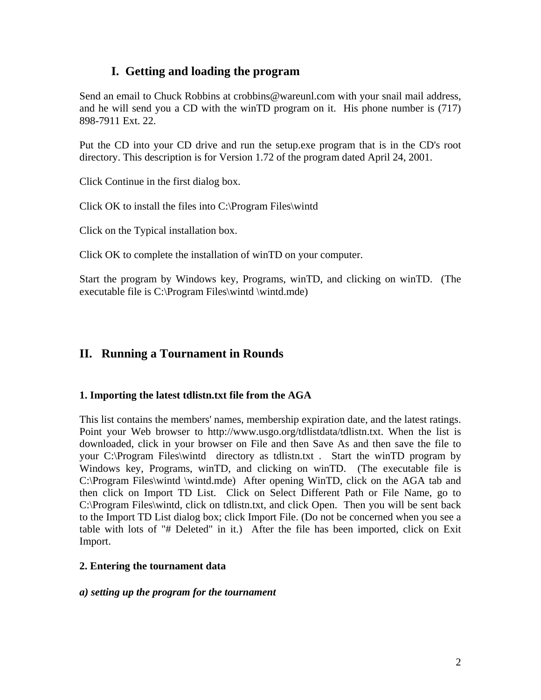# **I. Getting and loading the program**

Send an email to Chuck Robbins at crobbins@wareunl.com with your snail mail address, and he will send you a CD with the winTD program on it. His phone number is (717) 898-7911 Ext. 22.

Put the CD into your CD drive and run the setup.exe program that is in the CD's root directory. This description is for Version 1.72 of the program dated April 24, 2001.

Click Continue in the first dialog box.

Click OK to install the files into C:\Program Files\wintd

Click on the Typical installation box.

Click OK to complete the installation of winTD on your computer.

Start the program by Windows key, Programs, winTD, and clicking on winTD. (The executable file is C:\Program Files\wintd \wintd.mde)

# **II. Running a Tournament in Rounds**

## **1. Importing the latest tdlistn.txt file from the AGA**

This list contains the members' names, membership expiration date, and the latest ratings. Point your Web browser to http://www.usgo.org/tdlistdata/tdlistn.txt. When the list is downloaded, click in your browser on File and then Save As and then save the file to your C:\Program Files\wintd directory as tdlistn.txt . Start the winTD program by Windows key, Programs, winTD, and clicking on winTD. (The executable file is C:\Program Files\wintd \wintd.mde) After opening WinTD, click on the AGA tab and then click on Import TD List. Click on Select Different Path or File Name, go to C:\Program Files\wintd, click on tdlistn.txt, and click Open. Then you will be sent back to the Import TD List dialog box; click Import File. (Do not be concerned when you see a table with lots of "# Deleted" in it.) After the file has been imported, click on Exit Import.

## **2. Entering the tournament data**

#### *a) setting up the program for the tournament*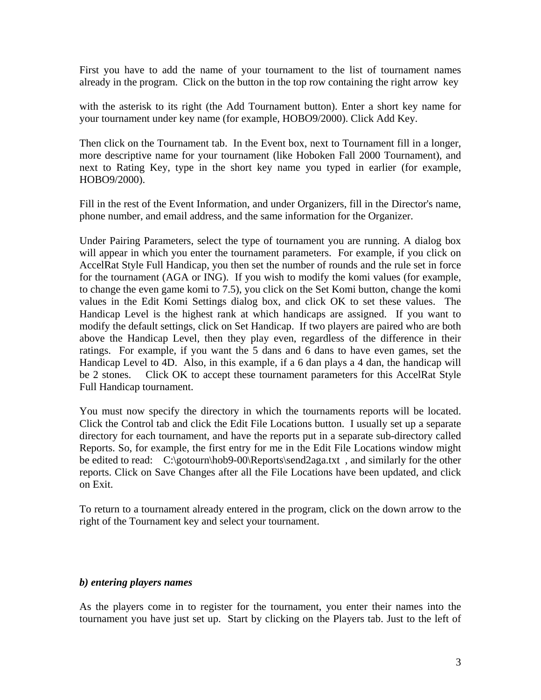First you have to add the name of your tournament to the list of tournament names already in the program. Click on the button in the top row containing the right arrow key

with the asterisk to its right (the Add Tournament button). Enter a short key name for your tournament under key name (for example, HOBO9/2000). Click Add Key.

Then click on the Tournament tab. In the Event box, next to Tournament fill in a longer, more descriptive name for your tournament (like Hoboken Fall 2000 Tournament), and next to Rating Key, type in the short key name you typed in earlier (for example, HOBO9/2000).

Fill in the rest of the Event Information, and under Organizers, fill in the Director's name, phone number, and email address, and the same information for the Organizer.

Under Pairing Parameters, select the type of tournament you are running. A dialog box will appear in which you enter the tournament parameters. For example, if you click on AccelRat Style Full Handicap, you then set the number of rounds and the rule set in force for the tournament (AGA or ING). If you wish to modify the komi values (for example, to change the even game komi to 7.5), you click on the Set Komi button, change the komi values in the Edit Komi Settings dialog box, and click OK to set these values. The Handicap Level is the highest rank at which handicaps are assigned. If you want to modify the default settings, click on Set Handicap. If two players are paired who are both above the Handicap Level, then they play even, regardless of the difference in their ratings. For example, if you want the 5 dans and 6 dans to have even games, set the Handicap Level to 4D. Also, in this example, if a 6 dan plays a 4 dan, the handicap will be 2 stones. Click OK to accept these tournament parameters for this AccelRat Style Full Handicap tournament.

You must now specify the directory in which the tournaments reports will be located. Click the Control tab and click the Edit File Locations button. I usually set up a separate directory for each tournament, and have the reports put in a separate sub-directory called Reports. So, for example, the first entry for me in the Edit File Locations window might be edited to read: C:\gotourn\hob9-00\Reports\send2aga.txt , and similarly for the other reports. Click on Save Changes after all the File Locations have been updated, and click on Exit.

To return to a tournament already entered in the program, click on the down arrow to the right of the Tournament key and select your tournament.

#### *b) entering players names*

As the players come in to register for the tournament, you enter their names into the tournament you have just set up. Start by clicking on the Players tab. Just to the left of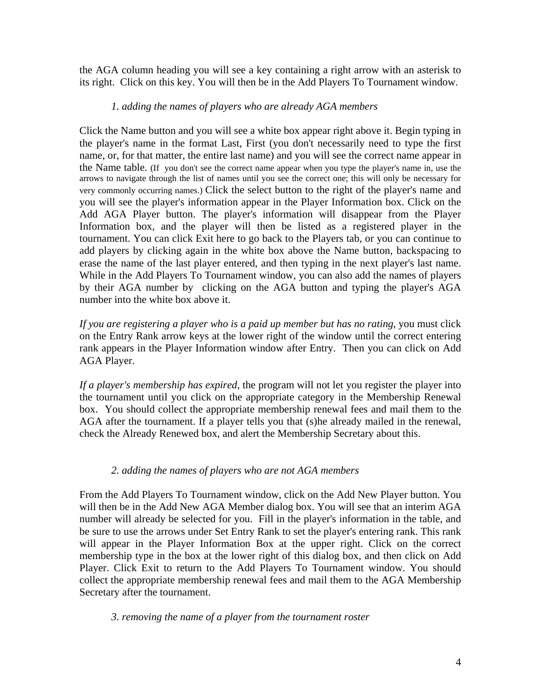the AGA column heading you will see a key containing a right arrow with an asterisk to its right. Click on this key. You will then be in the Add Players To Tournament window.

#### *1. adding the names of players who are already AGA members*

Click the Name button and you will see a white box appear right above it. Begin typing in the player's name in the format Last, First (you don't necessarily need to type the first name, or, for that matter, the entire last name) and you will see the correct name appear in the Name table. (If you don't see the correct name appear when you type the player's name in, use the arrows to navigate through the list of names until you see the correct one; this will only be necessary for very commonly occurring names.) Click the select button to the right of the player's name and you will see the player's information appear in the Player Information box. Click on the Add AGA Player button. The player's information will disappear from the Player Information box, and the player will then be listed as a registered player in the tournament. You can click Exit here to go back to the Players tab, or you can continue to add players by clicking again in the white box above the Name button, backspacing to erase the name of the last player entered, and then typing in the next player's last name. While in the Add Players To Tournament window, you can also add the names of players by their AGA number by clicking on the AGA button and typing the player's AGA number into the white box above it.

*If you are registering a player who is a paid up member but has no rating*, you must click on the Entry Rank arrow keys at the lower right of the window until the correct entering rank appears in the Player Information window after Entry. Then you can click on Add AGA Player.

*If a player's membership has expired*, the program will not let you register the player into the tournament until you click on the appropriate category in the Membership Renewal box. You should collect the appropriate membership renewal fees and mail them to the AGA after the tournament. If a player tells you that (s)he already mailed in the renewal, check the Already Renewed box, and alert the Membership Secretary about this.

## *2. adding the names of players who are not AGA members*

From the Add Players To Tournament window, click on the Add New Player button. You will then be in the Add New AGA Member dialog box. You will see that an interim AGA number will already be selected for you. Fill in the player's information in the table, and be sure to use the arrows under Set Entry Rank to set the player's entering rank. This rank will appear in the Player Information Box at the upper right. Click on the correct membership type in the box at the lower right of this dialog box, and then click on Add Player. Click Exit to return to the Add Players To Tournament window. You should collect the appropriate membership renewal fees and mail them to the AGA Membership Secretary after the tournament.

#### *3. removing the name of a player from the tournament roster*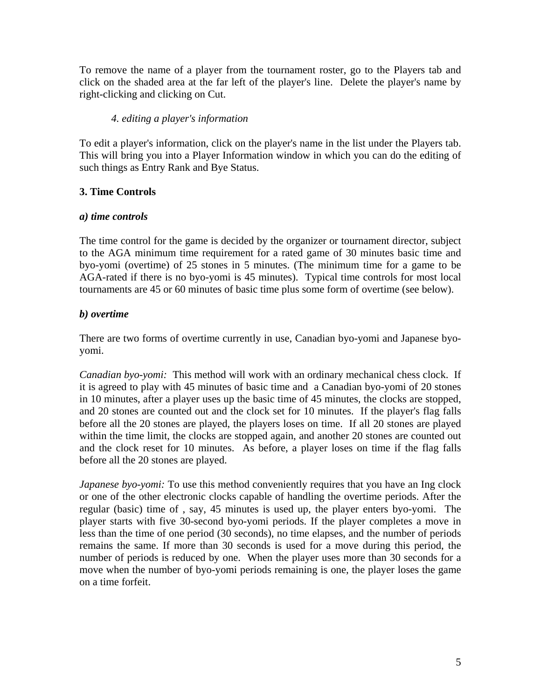To remove the name of a player from the tournament roster, go to the Players tab and click on the shaded area at the far left of the player's line. Delete the player's name by right-clicking and clicking on Cut.

## *4. editing a player's information*

To edit a player's information, click on the player's name in the list under the Players tab. This will bring you into a Player Information window in which you can do the editing of such things as Entry Rank and Bye Status.

## **3. Time Controls**

## *a) time controls*

The time control for the game is decided by the organizer or tournament director, subject to the AGA minimum time requirement for a rated game of 30 minutes basic time and byo-yomi (overtime) of 25 stones in 5 minutes. (The minimum time for a game to be AGA-rated if there is no byo-yomi is 45 minutes). Typical time controls for most local tournaments are 45 or 60 minutes of basic time plus some form of overtime (see below).

## *b) overtime*

There are two forms of overtime currently in use, Canadian byo-yomi and Japanese byoyomi.

*Canadian byo-yomi:* This method will work with an ordinary mechanical chess clock. If it is agreed to play with 45 minutes of basic time and a Canadian byo-yomi of 20 stones in 10 minutes, after a player uses up the basic time of 45 minutes, the clocks are stopped, and 20 stones are counted out and the clock set for 10 minutes. If the player's flag falls before all the 20 stones are played, the players loses on time. If all 20 stones are played within the time limit, the clocks are stopped again, and another 20 stones are counted out and the clock reset for 10 minutes. As before, a player loses on time if the flag falls before all the 20 stones are played.

*Japanese byo-yomi:* To use this method conveniently requires that you have an Ing clock or one of the other electronic clocks capable of handling the overtime periods. After the regular (basic) time of , say, 45 minutes is used up, the player enters byo-yomi. The player starts with five 30-second byo-yomi periods. If the player completes a move in less than the time of one period (30 seconds), no time elapses, and the number of periods remains the same. If more than 30 seconds is used for a move during this period, the number of periods is reduced by one. When the player uses more than 30 seconds for a move when the number of byo-yomi periods remaining is one, the player loses the game on a time forfeit.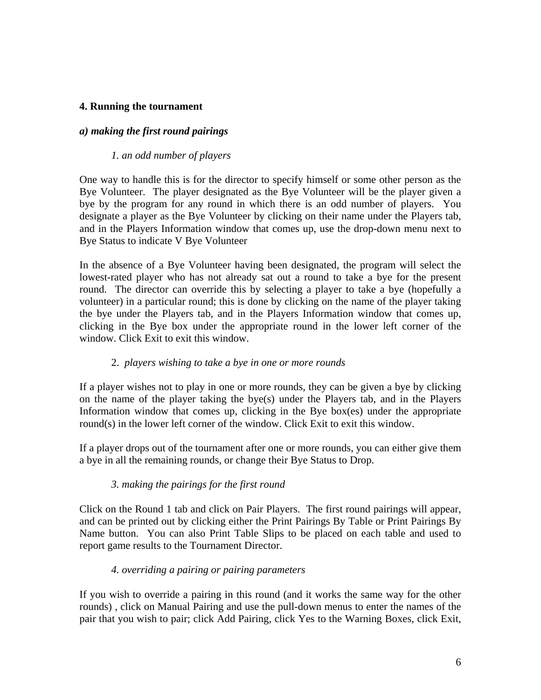#### **4. Running the tournament**

#### *a) making the first round pairings*

#### *1. an odd number of players*

One way to handle this is for the director to specify himself or some other person as the Bye Volunteer. The player designated as the Bye Volunteer will be the player given a bye by the program for any round in which there is an odd number of players. You designate a player as the Bye Volunteer by clicking on their name under the Players tab, and in the Players Information window that comes up, use the drop-down menu next to Bye Status to indicate V Bye Volunteer

In the absence of a Bye Volunteer having been designated, the program will select the lowest-rated player who has not already sat out a round to take a bye for the present round. The director can override this by selecting a player to take a bye (hopefully a volunteer) in a particular round; this is done by clicking on the name of the player taking the bye under the Players tab, and in the Players Information window that comes up, clicking in the Bye box under the appropriate round in the lower left corner of the window. Click Exit to exit this window.

#### 2. *players wishing to take a bye in one or more rounds*

If a player wishes not to play in one or more rounds, they can be given a bye by clicking on the name of the player taking the bye(s) under the Players tab, and in the Players Information window that comes up, clicking in the Bye box(es) under the appropriate round(s) in the lower left corner of the window. Click Exit to exit this window.

If a player drops out of the tournament after one or more rounds, you can either give them a bye in all the remaining rounds, or change their Bye Status to Drop.

## *3. making the pairings for the first round*

Click on the Round 1 tab and click on Pair Players. The first round pairings will appear, and can be printed out by clicking either the Print Pairings By Table or Print Pairings By Name button. You can also Print Table Slips to be placed on each table and used to report game results to the Tournament Director.

#### *4. overriding a pairing or pairing parameters*

If you wish to override a pairing in this round (and it works the same way for the other rounds) , click on Manual Pairing and use the pull-down menus to enter the names of the pair that you wish to pair; click Add Pairing, click Yes to the Warning Boxes, click Exit,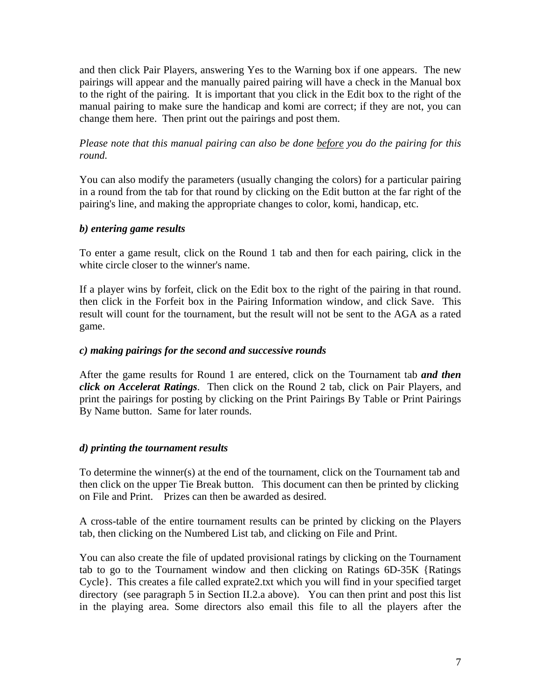and then click Pair Players, answering Yes to the Warning box if one appears. The new pairings will appear and the manually paired pairing will have a check in the Manual box to the right of the pairing. It is important that you click in the Edit box to the right of the manual pairing to make sure the handicap and komi are correct; if they are not, you can change them here. Then print out the pairings and post them.

*Please note that this manual pairing can also be done before you do the pairing for this round.*

You can also modify the parameters (usually changing the colors) for a particular pairing in a round from the tab for that round by clicking on the Edit button at the far right of the pairing's line, and making the appropriate changes to color, komi, handicap, etc.

## *b) entering game results*

To enter a game result, click on the Round 1 tab and then for each pairing, click in the white circle closer to the winner's name.

If a player wins by forfeit, click on the Edit box to the right of the pairing in that round. then click in the Forfeit box in the Pairing Information window, and click Save. This result will count for the tournament, but the result will not be sent to the AGA as a rated game.

## *c) making pairings for the second and successive rounds*

After the game results for Round 1 are entered, click on the Tournament tab *and then click on Accelerat Ratings*. Then click on the Round 2 tab, click on Pair Players, and print the pairings for posting by clicking on the Print Pairings By Table or Print Pairings By Name button. Same for later rounds.

## *d) printing the tournament results*

To determine the winner(s) at the end of the tournament, click on the Tournament tab and then click on the upper Tie Break button. This document can then be printed by clicking on File and Print. Prizes can then be awarded as desired.

A cross-table of the entire tournament results can be printed by clicking on the Players tab, then clicking on the Numbered List tab, and clicking on File and Print.

You can also create the file of updated provisional ratings by clicking on the Tournament tab to go to the Tournament window and then clicking on Ratings 6D-35K {Ratings Cycle}. This creates a file called exprate2.txt which you will find in your specified target directory (see paragraph 5 in Section II.2.a above). You can then print and post this list in the playing area. Some directors also email this file to all the players after the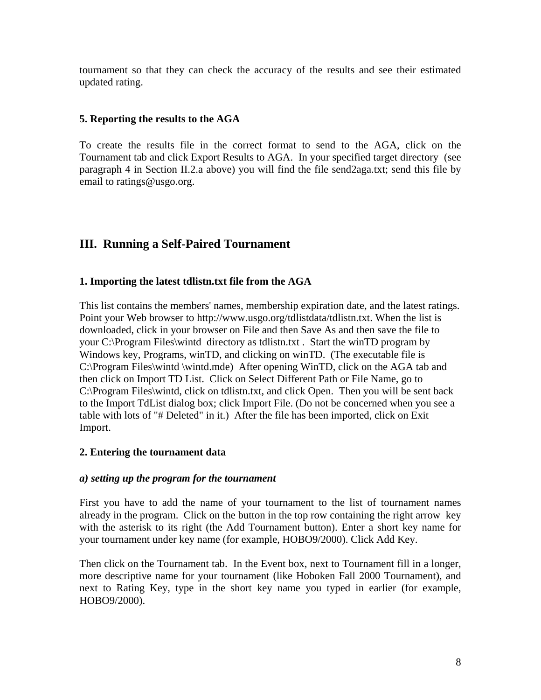tournament so that they can check the accuracy of the results and see their estimated updated rating.

#### **5. Reporting the results to the AGA**

To create the results file in the correct format to send to the AGA, click on the Tournament tab and click Export Results to AGA. In your specified target directory (see paragraph 4 in Section II.2.a above) you will find the file send2aga.txt; send this file by email to ratings@usgo.org.

# **III. Running a Self-Paired Tournament**

#### **1. Importing the latest tdlistn.txt file from the AGA**

This list contains the members' names, membership expiration date, and the latest ratings. Point your Web browser to http://www.usgo.org/tdlistdata/tdlistn.txt. When the list is downloaded, click in your browser on File and then Save As and then save the file to your C:\Program Files\wintd directory as tdlistn.txt . Start the winTD program by Windows key, Programs, winTD, and clicking on winTD. (The executable file is C:\Program Files\wintd \wintd.mde) After opening WinTD, click on the AGA tab and then click on Import TD List. Click on Select Different Path or File Name, go to C:\Program Files\wintd, click on tdlistn.txt, and click Open. Then you will be sent back to the Import TdList dialog box; click Import File. (Do not be concerned when you see a table with lots of "# Deleted" in it.) After the file has been imported, click on Exit Import.

#### **2. Entering the tournament data**

#### *a) setting up the program for the tournament*

First you have to add the name of your tournament to the list of tournament names already in the program. Click on the button in the top row containing the right arrow key with the asterisk to its right (the Add Tournament button). Enter a short key name for your tournament under key name (for example, HOBO9/2000). Click Add Key.

Then click on the Tournament tab. In the Event box, next to Tournament fill in a longer, more descriptive name for your tournament (like Hoboken Fall 2000 Tournament), and next to Rating Key, type in the short key name you typed in earlier (for example, HOBO9/2000).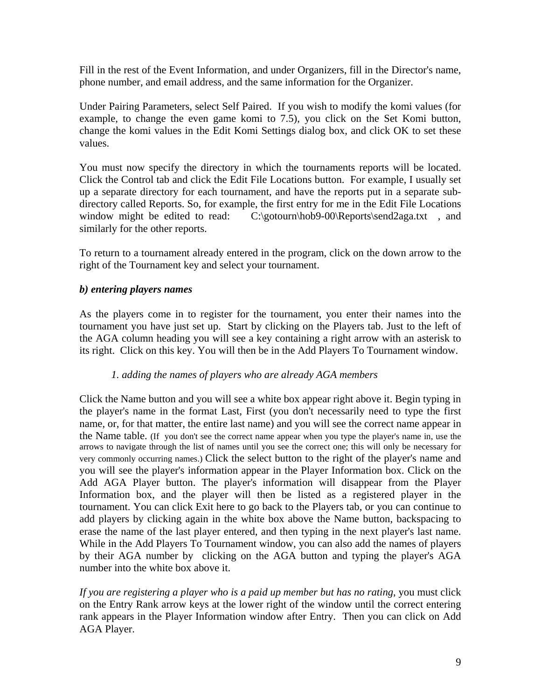Fill in the rest of the Event Information, and under Organizers, fill in the Director's name, phone number, and email address, and the same information for the Organizer.

Under Pairing Parameters, select Self Paired. If you wish to modify the komi values (for example, to change the even game komi to 7.5), you click on the Set Komi button, change the komi values in the Edit Komi Settings dialog box, and click OK to set these values.

You must now specify the directory in which the tournaments reports will be located. Click the Control tab and click the Edit File Locations button. For example, I usually set up a separate directory for each tournament, and have the reports put in a separate subdirectory called Reports. So, for example, the first entry for me in the Edit File Locations window might be edited to read: C:\gotourn\hob9-00\Reports\send2aga.txt, and similarly for the other reports.

To return to a tournament already entered in the program, click on the down arrow to the right of the Tournament key and select your tournament.

#### *b) entering players names*

As the players come in to register for the tournament, you enter their names into the tournament you have just set up. Start by clicking on the Players tab. Just to the left of the AGA column heading you will see a key containing a right arrow with an asterisk to its right. Click on this key. You will then be in the Add Players To Tournament window.

#### *1. adding the names of players who are already AGA members*

Click the Name button and you will see a white box appear right above it. Begin typing in the player's name in the format Last, First (you don't necessarily need to type the first name, or, for that matter, the entire last name) and you will see the correct name appear in the Name table. (If you don't see the correct name appear when you type the player's name in, use the arrows to navigate through the list of names until you see the correct one; this will only be necessary for very commonly occurring names.) Click the select button to the right of the player's name and you will see the player's information appear in the Player Information box. Click on the Add AGA Player button. The player's information will disappear from the Player Information box, and the player will then be listed as a registered player in the tournament. You can click Exit here to go back to the Players tab, or you can continue to add players by clicking again in the white box above the Name button, backspacing to erase the name of the last player entered, and then typing in the next player's last name. While in the Add Players To Tournament window, you can also add the names of players by their AGA number by clicking on the AGA button and typing the player's AGA number into the white box above it.

*If you are registering a player who is a paid up member but has no rating*, you must click on the Entry Rank arrow keys at the lower right of the window until the correct entering rank appears in the Player Information window after Entry. Then you can click on Add AGA Player.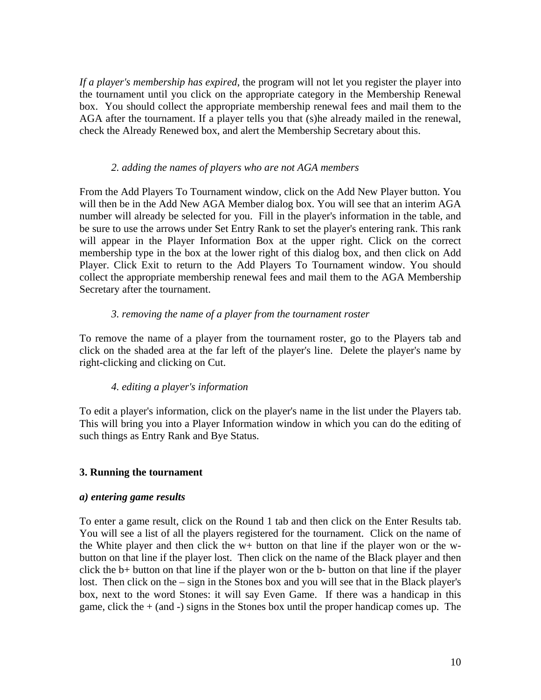*If a player's membership has expired*, the program will not let you register the player into the tournament until you click on the appropriate category in the Membership Renewal box. You should collect the appropriate membership renewal fees and mail them to the AGA after the tournament. If a player tells you that (s)he already mailed in the renewal, check the Already Renewed box, and alert the Membership Secretary about this.

#### *2. adding the names of players who are not AGA members*

From the Add Players To Tournament window, click on the Add New Player button. You will then be in the Add New AGA Member dialog box. You will see that an interim AGA number will already be selected for you. Fill in the player's information in the table, and be sure to use the arrows under Set Entry Rank to set the player's entering rank. This rank will appear in the Player Information Box at the upper right. Click on the correct membership type in the box at the lower right of this dialog box, and then click on Add Player. Click Exit to return to the Add Players To Tournament window. You should collect the appropriate membership renewal fees and mail them to the AGA Membership Secretary after the tournament.

#### *3. removing the name of a player from the tournament roster*

To remove the name of a player from the tournament roster, go to the Players tab and click on the shaded area at the far left of the player's line. Delete the player's name by right-clicking and clicking on Cut.

## *4. editing a player's information*

To edit a player's information, click on the player's name in the list under the Players tab. This will bring you into a Player Information window in which you can do the editing of such things as Entry Rank and Bye Status.

## **3. Running the tournament**

#### *a) entering game results*

To enter a game result, click on the Round 1 tab and then click on the Enter Results tab. You will see a list of all the players registered for the tournament. Click on the name of the White player and then click the w+ button on that line if the player won or the wbutton on that line if the player lost. Then click on the name of the Black player and then click the b+ button on that line if the player won or the b- button on that line if the player lost. Then click on the – sign in the Stones box and you will see that in the Black player's box, next to the word Stones: it will say Even Game. If there was a handicap in this game, click the  $+$  (and  $-$ ) signs in the Stones box until the proper handicap comes up. The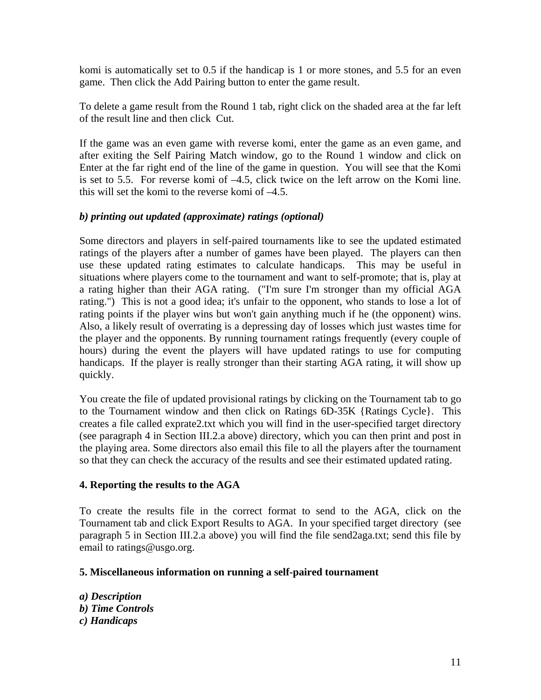komi is automatically set to 0.5 if the handicap is 1 or more stones, and 5.5 for an even game. Then click the Add Pairing button to enter the game result.

To delete a game result from the Round 1 tab, right click on the shaded area at the far left of the result line and then click Cut.

If the game was an even game with reverse komi, enter the game as an even game, and after exiting the Self Pairing Match window, go to the Round 1 window and click on Enter at the far right end of the line of the game in question. You will see that the Komi is set to 5.5. For reverse komi of –4.5, click twice on the left arrow on the Komi line. this will set the komi to the reverse komi of –4.5.

## *b) printing out updated (approximate) ratings (optional)*

Some directors and players in self-paired tournaments like to see the updated estimated ratings of the players after a number of games have been played. The players can then use these updated rating estimates to calculate handicaps. This may be useful in situations where players come to the tournament and want to self-promote; that is, play at a rating higher than their AGA rating. ("I'm sure I'm stronger than my official AGA rating.") This is not a good idea; it's unfair to the opponent, who stands to lose a lot of rating points if the player wins but won't gain anything much if he (the opponent) wins. Also, a likely result of overrating is a depressing day of losses which just wastes time for the player and the opponents. By running tournament ratings frequently (every couple of hours) during the event the players will have updated ratings to use for computing handicaps. If the player is really stronger than their starting AGA rating, it will show up quickly.

You create the file of updated provisional ratings by clicking on the Tournament tab to go to the Tournament window and then click on Ratings 6D-35K {Ratings Cycle}. This creates a file called exprate2.txt which you will find in the user-specified target directory (see paragraph 4 in Section III.2.a above) directory, which you can then print and post in the playing area. Some directors also email this file to all the players after the tournament so that they can check the accuracy of the results and see their estimated updated rating.

#### **4. Reporting the results to the AGA**

To create the results file in the correct format to send to the AGA, click on the Tournament tab and click Export Results to AGA. In your specified target directory (see paragraph 5 in Section III.2.a above) you will find the file send2aga.txt; send this file by email to ratings@usgo.org.

#### **5. Miscellaneous information on running a self-paired tournament**

*a) Description b) Time Controls c) Handicaps*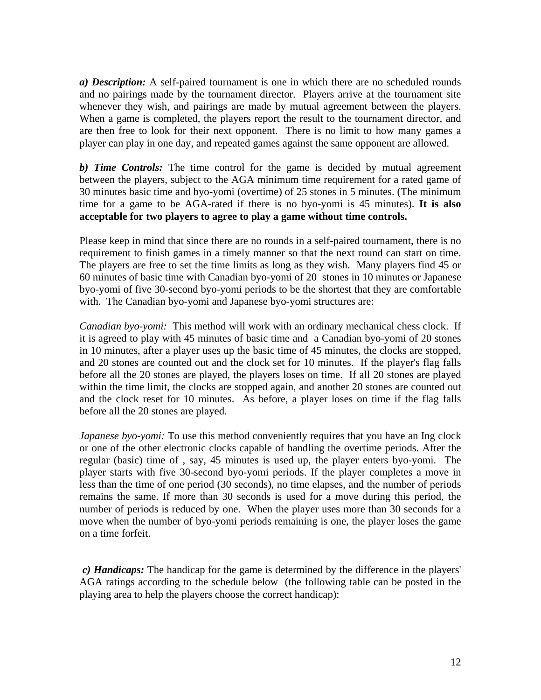*a) Description:* A self-paired tournament is one in which there are no scheduled rounds and no pairings made by the tournament director. Players arrive at the tournament site whenever they wish, and pairings are made by mutual agreement between the players. When a game is completed, the players report the result to the tournament director, and are then free to look for their next opponent. There is no limit to how many games a player can play in one day, and repeated games against the same opponent are allowed.

*b) Time Controls:* The time control for the game is decided by mutual agreement between the players, subject to the AGA minimum time requirement for a rated game of 30 minutes basic time and byo-yomi (overtime) of 25 stones in 5 minutes. (The minimum time for a game to be AGA-rated if there is no byo-yomi is 45 minutes). **It is also acceptable for two players to agree to play a game without time controls.**

Please keep in mind that since there are no rounds in a self-paired tournament, there is no requirement to finish games in a timely manner so that the next round can start on time. The players are free to set the time limits as long as they wish. Many players find 45 or 60 minutes of basic time with Canadian byo-yomi of 20 stones in 10 minutes or Japanese byo-yomi of five 30-second byo-yomi periods to be the shortest that they are comfortable with. The Canadian byo-yomi and Japanese byo-yomi structures are:

*Canadian byo-yomi:* This method will work with an ordinary mechanical chess clock. If it is agreed to play with 45 minutes of basic time and a Canadian byo-yomi of 20 stones in 10 minutes, after a player uses up the basic time of 45 minutes, the clocks are stopped, and 20 stones are counted out and the clock set for 10 minutes. If the player's flag falls before all the 20 stones are played, the players loses on time. If all 20 stones are played within the time limit, the clocks are stopped again, and another 20 stones are counted out and the clock reset for 10 minutes. As before, a player loses on time if the flag falls before all the 20 stones are played.

*Japanese byo-yomi:* To use this method conveniently requires that you have an Ing clock or one of the other electronic clocks capable of handling the overtime periods. After the regular (basic) time of , say, 45 minutes is used up, the player enters byo-yomi. The player starts with five 30-second byo-yomi periods. If the player completes a move in less than the time of one period (30 seconds), no time elapses, and the number of periods remains the same. If more than 30 seconds is used for a move during this period, the number of periods is reduced by one. When the player uses more than 30 seconds for a move when the number of byo-yomi periods remaining is one, the player loses the game on a time forfeit.

*c) Handicaps:* The handicap for the game is determined by the difference in the players' AGA ratings according to the schedule below (the following table can be posted in the playing area to help the players choose the correct handicap):